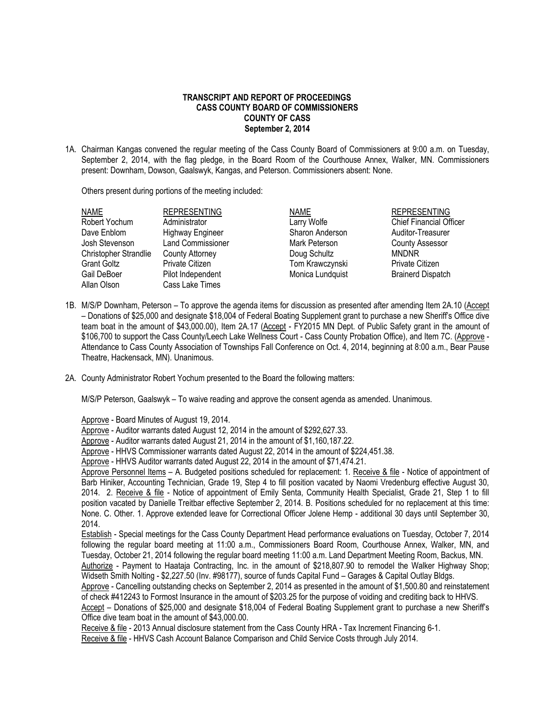## **TRANSCRIPT AND REPORT OF PROCEEDINGS CASS COUNTY BOARD OF COMMISSIONERS COUNTY OF CASS September 2, 2014**

1A. Chairman Kangas convened the regular meeting of the Cass County Board of Commissioners at 9:00 a.m. on Tuesday, September 2, 2014, with the flag pledge, in the Board Room of the Courthouse Annex, Walker, MN. Commissioners present: Downham, Dowson, Gaalswyk, Kangas, and Peterson. Commissioners absent: None.

Others present during portions of the meeting included:

| <b>NAME</b>           | <b>REPRESENTING</b>      | <b>NAME</b>      | <b>REPRESENTING</b>            |
|-----------------------|--------------------------|------------------|--------------------------------|
| Robert Yochum         | Administrator            | Larry Wolfe      | <b>Chief Financial Officer</b> |
| Dave Enblom           | <b>Highway Engineer</b>  | Sharon Anderson  | Auditor-Treasurer              |
| Josh Stevenson        | <b>Land Commissioner</b> | Mark Peterson    | <b>County Assessor</b>         |
| Christopher Strandlie | County Attorney          | Doug Schultz     | <b>MNDNR</b>                   |
| Grant Goltz           | <b>Private Citizen</b>   | Tom Krawczynski  | Private Citizen                |
| Gail DeBoer           | Pilot Independent        | Monica Lundquist | <b>Brainerd Dispatch</b>       |
| Allan Olson           | Cass Lake Times          |                  |                                |
|                       |                          |                  |                                |

- 1B. M/S/P Downham, Peterson To approve the agenda items for discussion as presented after amending Item 2A.10 (Accept – Donations of \$25,000 and designate \$18,004 of Federal Boating Supplement grant to purchase a new Sheriff's Office dive team boat in the amount of \$43,000.00), Item 2A.17 (Accept - FY2015 MN Dept. of Public Safety grant in the amount of \$106,700 to support the Cass County/Leech Lake Wellness Court - Cass County Probation Office), and Item 7C. (Approve - Attendance to Cass County Association of Townships Fall Conference on Oct. 4, 2014, beginning at 8:00 a.m., Bear Pause Theatre, Hackensack, MN). Unanimous.
- 2A. County Administrator Robert Yochum presented to the Board the following matters:

M/S/P Peterson, Gaalswyk – To waive reading and approve the consent agenda as amended. Unanimous.

Approve - Board Minutes of August 19, 2014.

Approve - Auditor warrants dated August 12, 2014 in the amount of \$292,627.33.

Approve - Auditor warrants dated August 21, 2014 in the amount of \$1,160,187.22.

Approve - HHVS Commissioner warrants dated August 22, 2014 in the amount of \$224,451.38.

Approve - HHVS Auditor warrants dated August 22, 2014 in the amount of \$71,474.21.

Approve Personnel Items – A. Budgeted positions scheduled for replacement: 1. Receive & file - Notice of appointment of Barb Hiniker, Accounting Technician, Grade 19, Step 4 to fill position vacated by Naomi Vredenburg effective August 30, 2014. 2. Receive & file - Notice of appointment of Emily Senta, Community Health Specialist, Grade 21, Step 1 to fill position vacated by Danielle Treitbar effective September 2, 2014. B. Positions scheduled for no replacement at this time: None. C. Other. 1. Approve extended leave for Correctional Officer Jolene Hemp - additional 30 days until September 30, 2014.

Establish - Special meetings for the Cass County Department Head performance evaluations on Tuesday, October 7, 2014 following the regular board meeting at 11:00 a.m., Commissioners Board Room, Courthouse Annex, Walker, MN, and Tuesday, October 21, 2014 following the regular board meeting 11:00 a.m. Land Department Meeting Room, Backus, MN. Authorize - Payment to Haataja Contracting, Inc. in the amount of \$218,807.90 to remodel the Walker Highway Shop;

Widseth Smith Nolting - \$2,227.50 (Inv. #98177), source of funds Capital Fund – Garages & Capital Outlay Bldgs.

Approve - Cancelling outstanding checks on September 2, 2014 as presented in the amount of \$1,500.80 and reinstatement of check #412243 to Formost Insurance in the amount of \$203.25 for the purpose of voiding and crediting back to HHVS.

Accept – Donations of \$25,000 and designate \$18,004 of Federal Boating Supplement grant to purchase a new Sheriff's Office dive team boat in the amount of \$43,000.00.

Receive & file - 2013 Annual disclosure statement from the Cass County HRA - Tax Increment Financing 6-1. Receive & file - HHVS Cash Account Balance Comparison and Child Service Costs through July 2014.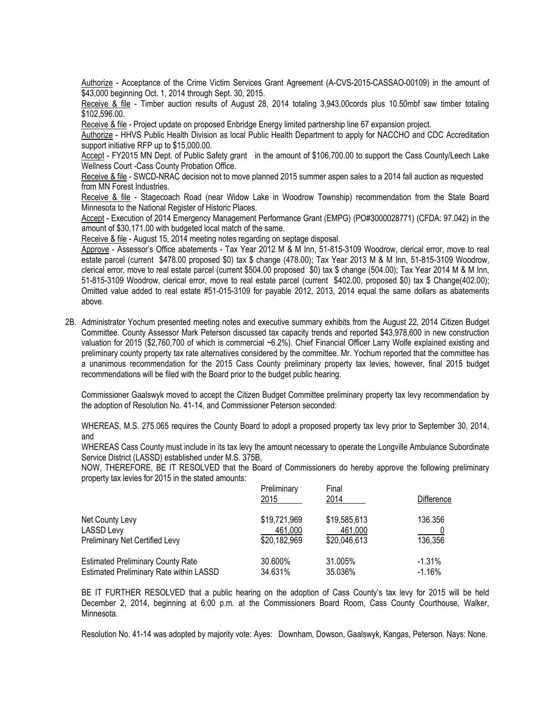Authorize - Acceptance of the Crime Victim Services Grant Agreement (A-CVS-2015-CASSAO-00109) in the amount of \$43,000 beginning Oct. 1, 2014 through Sept. 30, 2015.

Receive & file - Timber auction results of August 28, 2014 totaling 3,943.00cords plus 10.50mbf saw timber totaling \$102,596.00.

Receive & file - Project update on proposed Enbridge Energy limited partnership line 67 expansion project.

Authorize - HHVS Public Health Division as local Public Health Department to apply for NACCHO and CDC Accreditation support initiative RFP up to \$15,000.00.

Accept - FY2015 MN Dept. of Public Safety grant in the amount of \$106,700.00 to support the Cass County/Leech Lake Wellness Court -Cass County Probation Office.

Receive & file - SWCD-NRAC decision not to move planned 2015 summer aspen sales to a 2014 fall auction as requested from MN Forest Industries.

Receive & file - Stagecoach Road (near Widow Lake in Woodrow Township) recommendation from the State Board Minnesota to the National Register of Historic Places.

Accept - Execution of 2014 Emergency Management Performance Grant (EMPG) (PO#3000028771) (CFDA: 97.042) in the amount of \$30,171.00 with budgeted local match of the same.

Receive & file - August 15, 2014 meeting notes regarding on septage disposal.

Approve - Assessor's Office abatements - Tax Year 2012 M & M Inn, 51-815-3109 Woodrow, clerical error, move to real estate parcel (current \$478.00 proposed \$0) tax \$ change (478.00); Tax Year 2013 M & M Inn, 51-815-3109 Woodrow, clerical error, move to real estate parcel (current \$504.00 proposed \$0) tax \$ change (504.00); Tax Year 2014 M & M Inn, 51-815-3109 Woodrow, clerical error, move to real estate parcel (current \$402.00, proposed \$0) tax \$ Change(402.00); Omitted value added to real estate #51-015-3109 for payable 2012, 2013, 2014 equal the same dollars as abatements above.

2B. Administrator Yochum presented meeting notes and executive summary exhibits from the August 22, 2014 Citizen Budget Committee. County Assessor Mark Peterson discussed tax capacity trends and reported \$43,978,600 in new construction valuation for 2015 (\$2,760,700 of which is commercial ~6.2%). Chief Financial Officer Larry Wolfe explained existing and preliminary county property tax rate alternatives considered by the committee. Mr. Yochum reported that the committee has a unanimous recommendation for the 2015 Cass County preliminary property tax levies, however, final 2015 budget recommendations will be filed with the Board prior to the budget public hearing.

Commissioner Gaalswyk moved to accept the Citizen Budget Committee preliminary property tax levy recommendation by the adoption of Resolution No. 41-14, and Commissioner Peterson seconded:

WHEREAS, M.S. 275.065 requires the County Board to adopt a proposed property tax levy prior to September 30, 2014, and

WHEREAS Cass County must include in its tax levy the amount necessary to operate the Longville Ambulance Subordinate Service District (LASSD) established under M.S. 375B,

NOW, THEREFORE, BE IT RESOLVED that the Board of Commissioners do hereby approve the following preliminary property tax levies for 2015 in the stated amounts:

|                                          | Preliminary<br>2015 | Final<br>2014 | Difference |
|------------------------------------------|---------------------|---------------|------------|
| Net County Levy                          | \$19,721,969        | \$19,585,613  | 136.356    |
| <b>LASSD Levy</b>                        | 461,000             | 461,000       |            |
| Preliminary Net Certified Levy           | \$20,182,969        | \$20,046,613  | 136,356    |
| <b>Estimated Preliminary County Rate</b> | 30.600%             | 31.005%       | $-1.31%$   |
| Estimated Preliminary Rate within LASSD  | 34.631%             | 35.036%       | $-1.16%$   |

BE IT FURTHER RESOLVED that a public hearing on the adoption of Cass County's tax levy for 2015 will be held December 2, 2014, beginning at 6:00 p.m. at the Commissioners Board Room, Cass County Courthouse, Walker, Minnesota.

Resolution No. 41-14 was adopted by majority vote: Ayes: Downham, Dowson, Gaalswyk, Kangas, Peterson. Nays: None.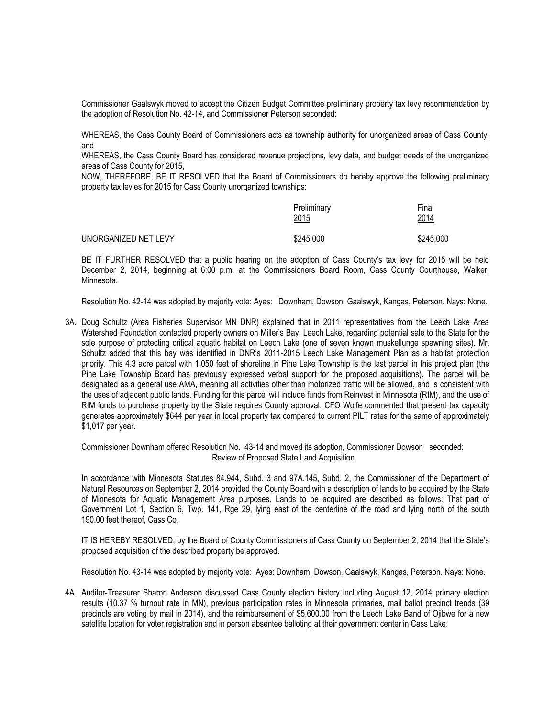Commissioner Gaalswyk moved to accept the Citizen Budget Committee preliminary property tax levy recommendation by the adoption of Resolution No. 42-14, and Commissioner Peterson seconded:

WHEREAS, the Cass County Board of Commissioners acts as township authority for unorganized areas of Cass County, and

WHEREAS, the Cass County Board has considered revenue projections, levy data, and budget needs of the unorganized areas of Cass County for 2015,

NOW, THEREFORE, BE IT RESOLVED that the Board of Commissioners do hereby approve the following preliminary property tax levies for 2015 for Cass County unorganized townships:

|                      | Preliminary<br>2015 | Final<br>2014 |
|----------------------|---------------------|---------------|
| UNORGANIZED NET LEVY | \$245,000           | \$245,000     |

BE IT FURTHER RESOLVED that a public hearing on the adoption of Cass County's tax levy for 2015 will be held December 2, 2014, beginning at 6:00 p.m. at the Commissioners Board Room, Cass County Courthouse, Walker, Minnesota.

Resolution No. 42-14 was adopted by majority vote: Ayes: Downham, Dowson, Gaalswyk, Kangas, Peterson. Nays: None.

3A. Doug Schultz (Area Fisheries Supervisor MN DNR) explained that in 2011 representatives from the Leech Lake Area Watershed Foundation contacted property owners on Miller's Bay, Leech Lake, regarding potential sale to the State for the sole purpose of protecting critical aquatic habitat on Leech Lake (one of seven known muskellunge spawning sites). Mr. Schultz added that this bay was identified in DNR's 2011-2015 Leech Lake Management Plan as a habitat protection priority. This 4.3 acre parcel with 1,050 feet of shoreline in Pine Lake Township is the last parcel in this project plan (the Pine Lake Township Board has previously expressed verbal support for the proposed acquisitions). The parcel will be designated as a general use AMA, meaning all activities other than motorized traffic will be allowed, and is consistent with the uses of adjacent public lands. Funding for this parcel will include funds from Reinvest in Minnesota (RIM), and the use of RIM funds to purchase property by the State requires County approval. CFO Wolfe commented that present tax capacity generates approximately \$644 per year in local property tax compared to current PILT rates for the same of approximately \$1,017 per year.

Commissioner Downham offered Resolution No. 43-14 and moved its adoption, Commissioner Dowson seconded: Review of Proposed State Land Acquisition

In accordance with Minnesota Statutes 84.944, Subd. 3 and 97A.145, Subd. 2, the Commissioner of the Department of Natural Resources on September 2, 2014 provided the County Board with a description of lands to be acquired by the State of Minnesota for Aquatic Management Area purposes. Lands to be acquired are described as follows: That part of Government Lot 1, Section 6, Twp. 141, Rge 29, lying east of the centerline of the road and lying north of the south 190.00 feet thereof, Cass Co.

IT IS HEREBY RESOLVED, by the Board of County Commissioners of Cass County on September 2, 2014 that the State's proposed acquisition of the described property be approved.

Resolution No. 43-14 was adopted by majority vote: Ayes: Downham, Dowson, Gaalswyk, Kangas, Peterson. Nays: None.

4A. Auditor-Treasurer Sharon Anderson discussed Cass County election history including August 12, 2014 primary election results (10.37 % turnout rate in MN), previous participation rates in Minnesota primaries, mail ballot precinct trends (39 precincts are voting by mail in 2014), and the reimbursement of \$5,600.00 from the Leech Lake Band of Ojibwe for a new satellite location for voter registration and in person absentee balloting at their government center in Cass Lake.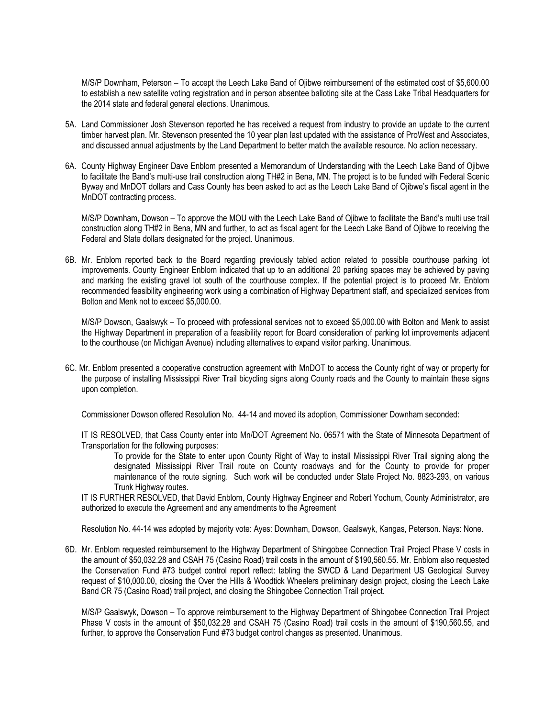M/S/P Downham, Peterson – To accept the Leech Lake Band of Ojibwe reimbursement of the estimated cost of \$5,600.00 to establish a new satellite voting registration and in person absentee balloting site at the Cass Lake Tribal Headquarters for the 2014 state and federal general elections. Unanimous.

- 5A. Land Commissioner Josh Stevenson reported he has received a request from industry to provide an update to the current timber harvest plan. Mr. Stevenson presented the 10 year plan last updated with the assistance of ProWest and Associates, and discussed annual adjustments by the Land Department to better match the available resource. No action necessary.
- 6A. County Highway Engineer Dave Enblom presented a Memorandum of Understanding with the Leech Lake Band of Ojibwe to facilitate the Band's multi-use trail construction along TH#2 in Bena, MN. The project is to be funded with Federal Scenic Byway and MnDOT dollars and Cass County has been asked to act as the Leech Lake Band of Ojibwe's fiscal agent in the MnDOT contracting process.

M/S/P Downham, Dowson – To approve the MOU with the Leech Lake Band of Ojibwe to facilitate the Band's multi use trail construction along TH#2 in Bena, MN and further, to act as fiscal agent for the Leech Lake Band of Ojibwe to receiving the Federal and State dollars designated for the project. Unanimous.

6B. Mr. Enblom reported back to the Board regarding previously tabled action related to possible courthouse parking lot improvements. County Engineer Enblom indicated that up to an additional 20 parking spaces may be achieved by paving and marking the existing gravel lot south of the courthouse complex. If the potential project is to proceed Mr. Enblom recommended feasibility engineering work using a combination of Highway Department staff, and specialized services from Bolton and Menk not to exceed \$5,000.00.

M/S/P Dowson, Gaalswyk – To proceed with professional services not to exceed \$5,000.00 with Bolton and Menk to assist the Highway Department in preparation of a feasibility report for Board consideration of parking lot improvements adjacent to the courthouse (on Michigan Avenue) including alternatives to expand visitor parking. Unanimous.

6C. Mr. Enblom presented a cooperative construction agreement with MnDOT to access the County right of way or property for the purpose of installing Mississippi River Trail bicycling signs along County roads and the County to maintain these signs upon completion.

Commissioner Dowson offered Resolution No. 44-14 and moved its adoption, Commissioner Downham seconded:

IT IS RESOLVED, that Cass County enter into Mn/DOT Agreement No. 06571 with the State of Minnesota Department of Transportation for the following purposes:

To provide for the State to enter upon County Right of Way to install Mississippi River Trail signing along the designated Mississippi River Trail route on County roadways and for the County to provide for proper maintenance of the route signing. Such work will be conducted under State Project No. 8823-293, on various Trunk Highway routes.

IT IS FURTHER RESOLVED, that David Enblom, County Highway Engineer and Robert Yochum, County Administrator, are authorized to execute the Agreement and any amendments to the Agreement

Resolution No. 44-14 was adopted by majority vote: Ayes: Downham, Dowson, Gaalswyk, Kangas, Peterson. Nays: None.

6D. Mr. Enblom requested reimbursement to the Highway Department of Shingobee Connection Trail Project Phase V costs in the amount of \$50,032.28 and CSAH 75 (Casino Road) trail costs in the amount of \$190,560.55. Mr. Enblom also requested the Conservation Fund #73 budget control report reflect: tabling the SWCD & Land Department US Geological Survey request of \$10,000.00, closing the Over the Hills & Woodtick Wheelers preliminary design project, closing the Leech Lake Band CR 75 (Casino Road) trail project, and closing the Shingobee Connection Trail project.

M/S/P Gaalswyk, Dowson – To approve reimbursement to the Highway Department of Shingobee Connection Trail Project Phase V costs in the amount of \$50,032.28 and CSAH 75 (Casino Road) trail costs in the amount of \$190,560.55, and further, to approve the Conservation Fund #73 budget control changes as presented. Unanimous.